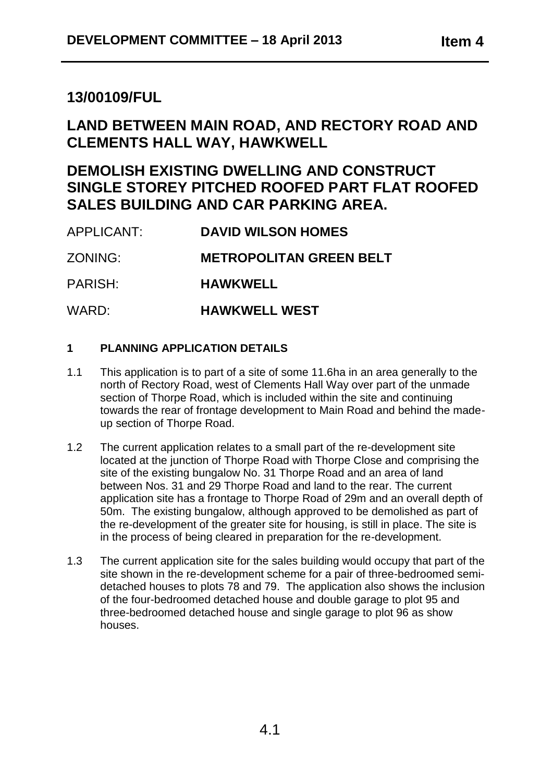# **13/00109/FUL**

# **LAND BETWEEN MAIN ROAD, AND RECTORY ROAD AND CLEMENTS HALL WAY, HAWKWELL**

# **DEMOLISH EXISTING DWELLING AND CONSTRUCT SINGLE STOREY PITCHED ROOFED PART FLAT ROOFED SALES BUILDING AND CAR PARKING AREA.**

| APPLICANT: | <b>DAVID WILSON HOMES</b> |
|------------|---------------------------|
|            |                           |

ZONING: **METROPOLITAN GREEN BELT**

PARISH: **HAWKWELL**

WARD: **HAWKWELL WEST**

# **1 PLANNING APPLICATION DETAILS**

- 1.1 This application is to part of a site of some 11.6ha in an area generally to the north of Rectory Road, west of Clements Hall Way over part of the unmade section of Thorpe Road, which is included within the site and continuing towards the rear of frontage development to Main Road and behind the madeup section of Thorpe Road.
- 1.2 The current application relates to a small part of the re-development site located at the junction of Thorpe Road with Thorpe Close and comprising the site of the existing bungalow No. 31 Thorpe Road and an area of land between Nos. 31 and 29 Thorpe Road and land to the rear. The current application site has a frontage to Thorpe Road of 29m and an overall depth of 50m. The existing bungalow, although approved to be demolished as part of the re-development of the greater site for housing, is still in place. The site is in the process of being cleared in preparation for the re-development.
- 1.3 The current application site for the sales building would occupy that part of the site shown in the re-development scheme for a pair of three-bedroomed semidetached houses to plots 78 and 79. The application also shows the inclusion of the four-bedroomed detached house and double garage to plot 95 and three-bedroomed detached house and single garage to plot 96 as show houses.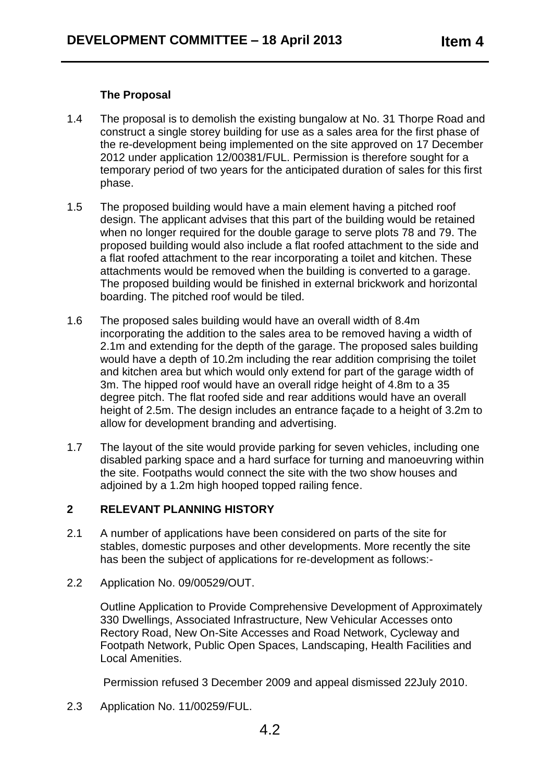### **The Proposal**

- 1.4 The proposal is to demolish the existing bungalow at No. 31 Thorpe Road and construct a single storey building for use as a sales area for the first phase of the re-development being implemented on the site approved on 17 December 2012 under application 12/00381/FUL. Permission is therefore sought for a temporary period of two years for the anticipated duration of sales for this first phase.
- 1.5 The proposed building would have a main element having a pitched roof design. The applicant advises that this part of the building would be retained when no longer required for the double garage to serve plots 78 and 79. The proposed building would also include a flat roofed attachment to the side and a flat roofed attachment to the rear incorporating a toilet and kitchen. These attachments would be removed when the building is converted to a garage. The proposed building would be finished in external brickwork and horizontal boarding. The pitched roof would be tiled.
- 1.6 The proposed sales building would have an overall width of 8.4m incorporating the addition to the sales area to be removed having a width of 2.1m and extending for the depth of the garage. The proposed sales building would have a depth of 10.2m including the rear addition comprising the toilet and kitchen area but which would only extend for part of the garage width of 3m. The hipped roof would have an overall ridge height of 4.8m to a 35 degree pitch. The flat roofed side and rear additions would have an overall height of 2.5m. The design includes an entrance façade to a height of 3.2m to allow for development branding and advertising.
- 1.7 The layout of the site would provide parking for seven vehicles, including one disabled parking space and a hard surface for turning and manoeuvring within the site. Footpaths would connect the site with the two show houses and adjoined by a 1.2m high hooped topped railing fence.

### **2 RELEVANT PLANNING HISTORY**

- 2.1 A number of applications have been considered on parts of the site for stables, domestic purposes and other developments. More recently the site has been the subject of applications for re-development as follows:-
- 2.2 Application No. 09/00529/OUT.

Outline Application to Provide Comprehensive Development of Approximately 330 Dwellings, Associated Infrastructure, New Vehicular Accesses onto Rectory Road, New On-Site Accesses and Road Network, Cycleway and Footpath Network, Public Open Spaces, Landscaping, Health Facilities and Local Amenities.

Permission refused 3 December 2009 and appeal dismissed 22July 2010.

2.3 Application No. 11/00259/FUL.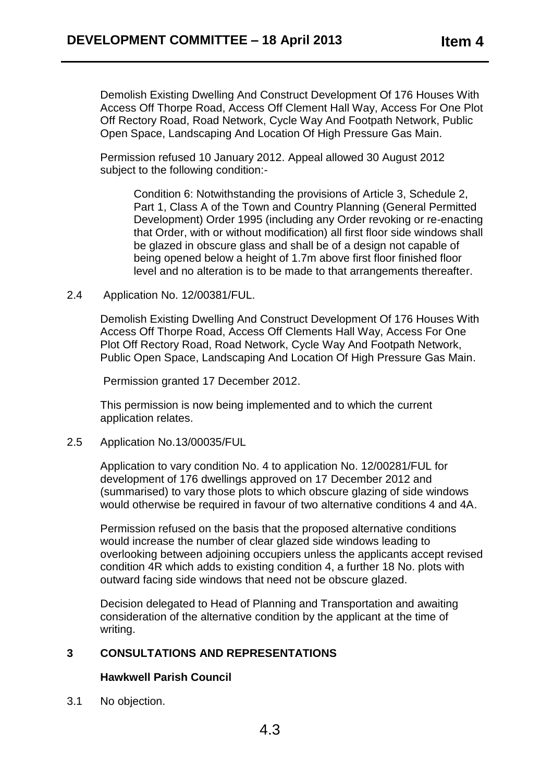Demolish Existing Dwelling And Construct Development Of 176 Houses With Access Off Thorpe Road, Access Off Clement Hall Way, Access For One Plot Off Rectory Road, Road Network, Cycle Way And Footpath Network, Public Open Space, Landscaping And Location Of High Pressure Gas Main.

Permission refused 10 January 2012. Appeal allowed 30 August 2012 subject to the following condition:-

Condition 6: Notwithstanding the provisions of Article 3, Schedule 2, Part 1, Class A of the Town and Country Planning (General Permitted Development) Order 1995 (including any Order revoking or re-enacting that Order, with or without modification) all first floor side windows shall be glazed in obscure glass and shall be of a design not capable of being opened below a height of 1.7m above first floor finished floor level and no alteration is to be made to that arrangements thereafter.

#### 2.4 Application No. 12/00381/FUL.

Demolish Existing Dwelling And Construct Development Of 176 Houses With Access Off Thorpe Road, Access Off Clements Hall Way, Access For One Plot Off Rectory Road, Road Network, Cycle Way And Footpath Network, Public Open Space, Landscaping And Location Of High Pressure Gas Main.

Permission granted 17 December 2012.

This permission is now being implemented and to which the current application relates.

2.5 Application No.13/00035/FUL

Application to vary condition No. 4 to application No. 12/00281/FUL for development of 176 dwellings approved on 17 December 2012 and (summarised) to vary those plots to which obscure glazing of side windows would otherwise be required in favour of two alternative conditions 4 and 4A.

Permission refused on the basis that the proposed alternative conditions would increase the number of clear glazed side windows leading to overlooking between adjoining occupiers unless the applicants accept revised condition 4R which adds to existing condition 4, a further 18 No. plots with outward facing side windows that need not be obscure glazed.

Decision delegated to Head of Planning and Transportation and awaiting consideration of the alternative condition by the applicant at the time of writing.

# **3 CONSULTATIONS AND REPRESENTATIONS**

# **Hawkwell Parish Council**

3.1 No objection.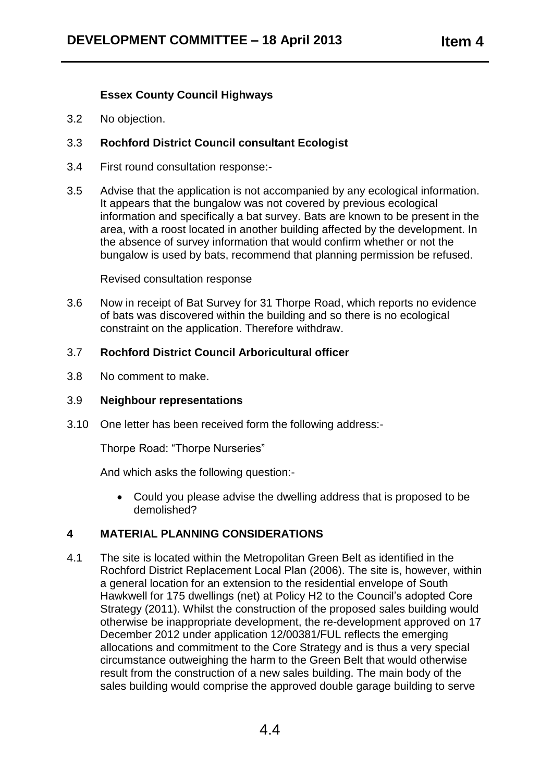# **Essex County Council Highways**

3.2 No objection.

# 3.3 **Rochford District Council consultant Ecologist**

- 3.4 First round consultation response:-
- 3.5 Advise that the application is not accompanied by any ecological information. It appears that the bungalow was not covered by previous ecological information and specifically a bat survey. Bats are known to be present in the area, with a roost located in another building affected by the development. In the absence of survey information that would confirm whether or not the bungalow is used by bats, recommend that planning permission be refused.

Revised consultation response

3.6 Now in receipt of Bat Survey for 31 Thorpe Road, which reports no evidence of bats was discovered within the building and so there is no ecological constraint on the application. Therefore withdraw.

### 3.7 **Rochford District Council Arboricultural officer**

3.8 No comment to make.

#### 3.9 **Neighbour representations**

3.10 One letter has been received form the following address:-

Thorpe Road: "Thorpe Nurseries"

And which asks the following question:-

 Could you please advise the dwelling address that is proposed to be demolished?

# **4 MATERIAL PLANNING CONSIDERATIONS**

4.1 The site is located within the Metropolitan Green Belt as identified in the Rochford District Replacement Local Plan (2006). The site is, however, within a general location for an extension to the residential envelope of South Hawkwell for 175 dwellings (net) at Policy H2 to the Council's adopted Core Strategy (2011). Whilst the construction of the proposed sales building would otherwise be inappropriate development, the re-development approved on 17 December 2012 under application 12/00381/FUL reflects the emerging allocations and commitment to the Core Strategy and is thus a very special circumstance outweighing the harm to the Green Belt that would otherwise result from the construction of a new sales building. The main body of the sales building would comprise the approved double garage building to serve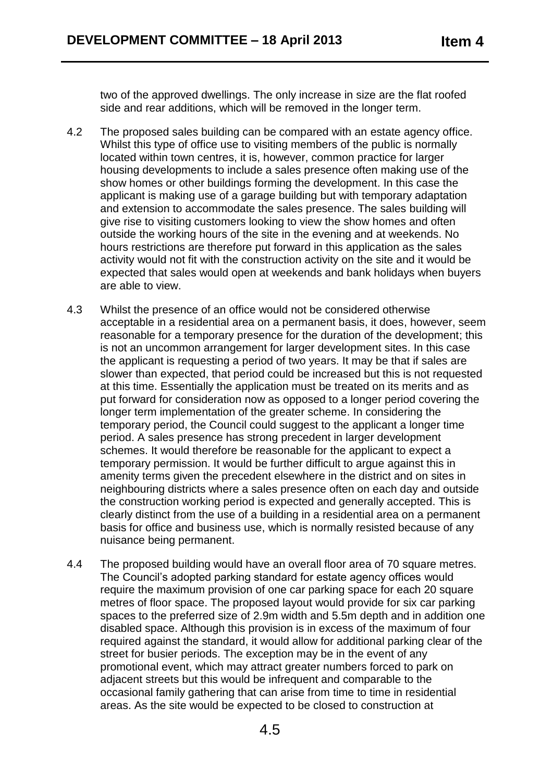two of the approved dwellings. The only increase in size are the flat roofed side and rear additions, which will be removed in the longer term.

- 4.2 The proposed sales building can be compared with an estate agency office. Whilst this type of office use to visiting members of the public is normally located within town centres, it is, however, common practice for larger housing developments to include a sales presence often making use of the show homes or other buildings forming the development. In this case the applicant is making use of a garage building but with temporary adaptation and extension to accommodate the sales presence. The sales building will give rise to visiting customers looking to view the show homes and often outside the working hours of the site in the evening and at weekends. No hours restrictions are therefore put forward in this application as the sales activity would not fit with the construction activity on the site and it would be expected that sales would open at weekends and bank holidays when buyers are able to view.
- 4.3 Whilst the presence of an office would not be considered otherwise acceptable in a residential area on a permanent basis, it does, however, seem reasonable for a temporary presence for the duration of the development; this is not an uncommon arrangement for larger development sites. In this case the applicant is requesting a period of two years. It may be that if sales are slower than expected, that period could be increased but this is not requested at this time. Essentially the application must be treated on its merits and as put forward for consideration now as opposed to a longer period covering the longer term implementation of the greater scheme. In considering the temporary period, the Council could suggest to the applicant a longer time period. A sales presence has strong precedent in larger development schemes. It would therefore be reasonable for the applicant to expect a temporary permission. It would be further difficult to argue against this in amenity terms given the precedent elsewhere in the district and on sites in neighbouring districts where a sales presence often on each day and outside the construction working period is expected and generally accepted. This is clearly distinct from the use of a building in a residential area on a permanent basis for office and business use, which is normally resisted because of any nuisance being permanent.
- 4.4 The proposed building would have an overall floor area of 70 square metres. The Council's adopted parking standard for estate agency offices would require the maximum provision of one car parking space for each 20 square metres of floor space. The proposed layout would provide for six car parking spaces to the preferred size of 2.9m width and 5.5m depth and in addition one disabled space. Although this provision is in excess of the maximum of four required against the standard, it would allow for additional parking clear of the street for busier periods. The exception may be in the event of any promotional event, which may attract greater numbers forced to park on adjacent streets but this would be infrequent and comparable to the occasional family gathering that can arise from time to time in residential areas. As the site would be expected to be closed to construction at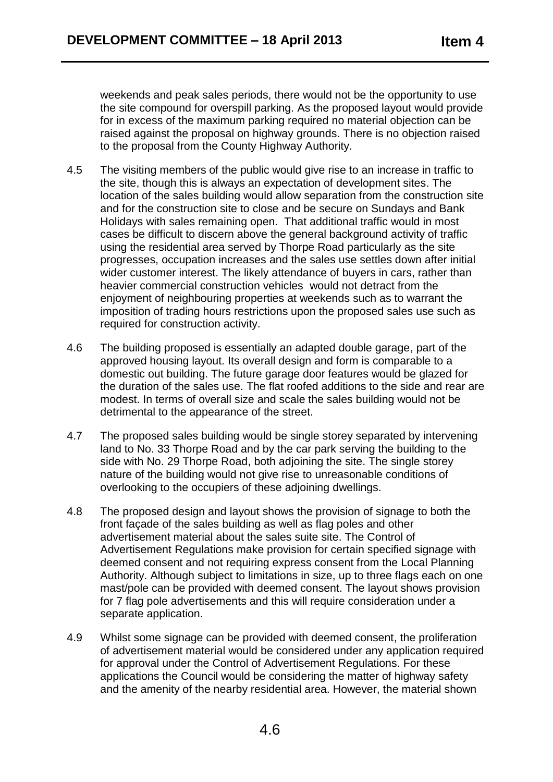weekends and peak sales periods, there would not be the opportunity to use the site compound for overspill parking. As the proposed layout would provide for in excess of the maximum parking required no material objection can be raised against the proposal on highway grounds. There is no objection raised to the proposal from the County Highway Authority.

- 4.5 The visiting members of the public would give rise to an increase in traffic to the site, though this is always an expectation of development sites. The location of the sales building would allow separation from the construction site and for the construction site to close and be secure on Sundays and Bank Holidays with sales remaining open. That additional traffic would in most cases be difficult to discern above the general background activity of traffic using the residential area served by Thorpe Road particularly as the site progresses, occupation increases and the sales use settles down after initial wider customer interest. The likely attendance of buyers in cars, rather than heavier commercial construction vehicles would not detract from the enjoyment of neighbouring properties at weekends such as to warrant the imposition of trading hours restrictions upon the proposed sales use such as required for construction activity.
- 4.6 The building proposed is essentially an adapted double garage, part of the approved housing layout. Its overall design and form is comparable to a domestic out building. The future garage door features would be glazed for the duration of the sales use. The flat roofed additions to the side and rear are modest. In terms of overall size and scale the sales building would not be detrimental to the appearance of the street.
- 4.7 The proposed sales building would be single storey separated by intervening land to No. 33 Thorpe Road and by the car park serving the building to the side with No. 29 Thorpe Road, both adjoining the site. The single storey nature of the building would not give rise to unreasonable conditions of overlooking to the occupiers of these adjoining dwellings.
- 4.8 The proposed design and layout shows the provision of signage to both the front façade of the sales building as well as flag poles and other advertisement material about the sales suite site. The Control of Advertisement Regulations make provision for certain specified signage with deemed consent and not requiring express consent from the Local Planning Authority. Although subject to limitations in size, up to three flags each on one mast/pole can be provided with deemed consent. The layout shows provision for 7 flag pole advertisements and this will require consideration under a separate application.
- 4.9 Whilst some signage can be provided with deemed consent, the proliferation of advertisement material would be considered under any application required for approval under the Control of Advertisement Regulations. For these applications the Council would be considering the matter of highway safety and the amenity of the nearby residential area. However, the material shown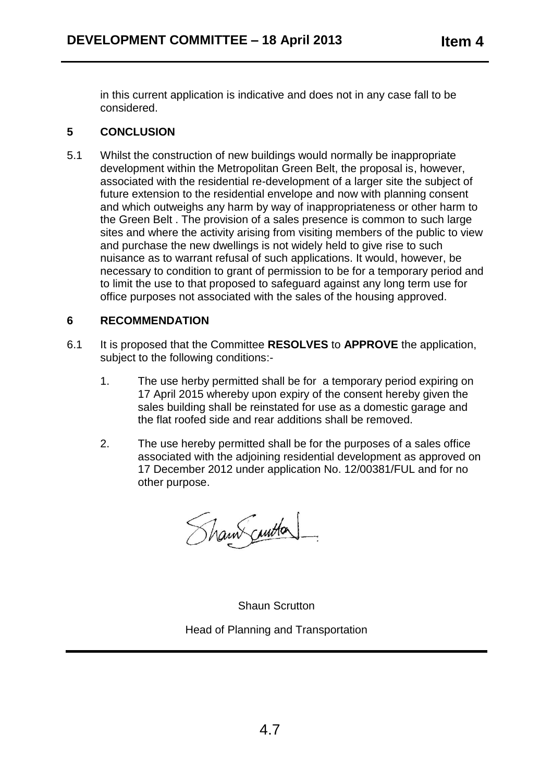in this current application is indicative and does not in any case fall to be considered.

# **5 CONCLUSION**

5.1 Whilst the construction of new buildings would normally be inappropriate development within the Metropolitan Green Belt, the proposal is, however, associated with the residential re-development of a larger site the subject of future extension to the residential envelope and now with planning consent and which outweighs any harm by way of inappropriateness or other harm to the Green Belt . The provision of a sales presence is common to such large sites and where the activity arising from visiting members of the public to view and purchase the new dwellings is not widely held to give rise to such nuisance as to warrant refusal of such applications. It would, however, be necessary to condition to grant of permission to be for a temporary period and to limit the use to that proposed to safeguard against any long term use for office purposes not associated with the sales of the housing approved.

# **6 RECOMMENDATION**

- 6.1 It is proposed that the Committee **RESOLVES** to **APPROVE** the application, subject to the following conditions:-
	- 1. The use herby permitted shall be for a temporary period expiring on 17 April 2015 whereby upon expiry of the consent hereby given the sales building shall be reinstated for use as a domestic garage and the flat roofed side and rear additions shall be removed.
	- 2. The use hereby permitted shall be for the purposes of a sales office associated with the adjoining residential development as approved on 17 December 2012 under application No. 12/00381/FUL and for no other purpose.

Shaw curton

Shaun Scrutton Head of Planning and Transportation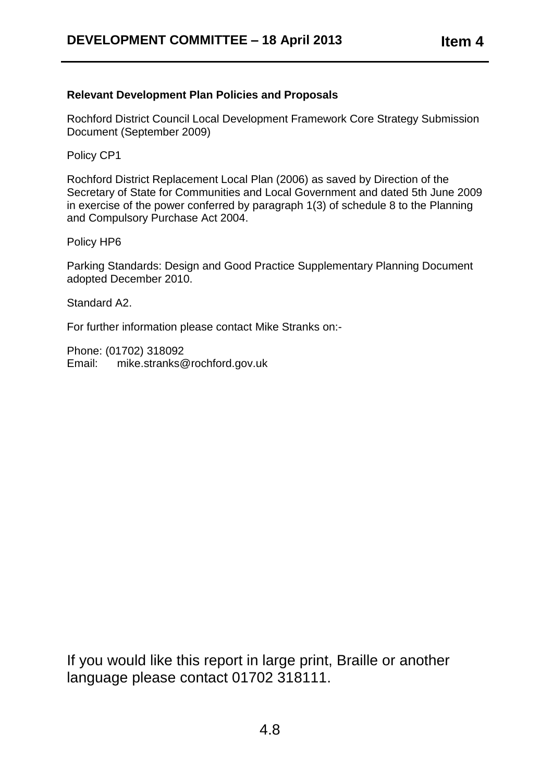# **Relevant Development Plan Policies and Proposals**

Rochford District Council Local Development Framework Core Strategy Submission Document (September 2009)

Policy CP1

Rochford District Replacement Local Plan (2006) as saved by Direction of the Secretary of State for Communities and Local Government and dated 5th June 2009 in exercise of the power conferred by paragraph 1(3) of schedule 8 to the Planning and Compulsory Purchase Act 2004.

Policy HP6

Parking Standards: Design and Good Practice Supplementary Planning Document adopted December 2010.

Standard A2.

For further information please contact Mike Stranks on:-

Phone: (01702) 318092 Email: mike.stranks@rochford.gov.uk

If you would like this report in large print, Braille or another language please contact 01702 318111.